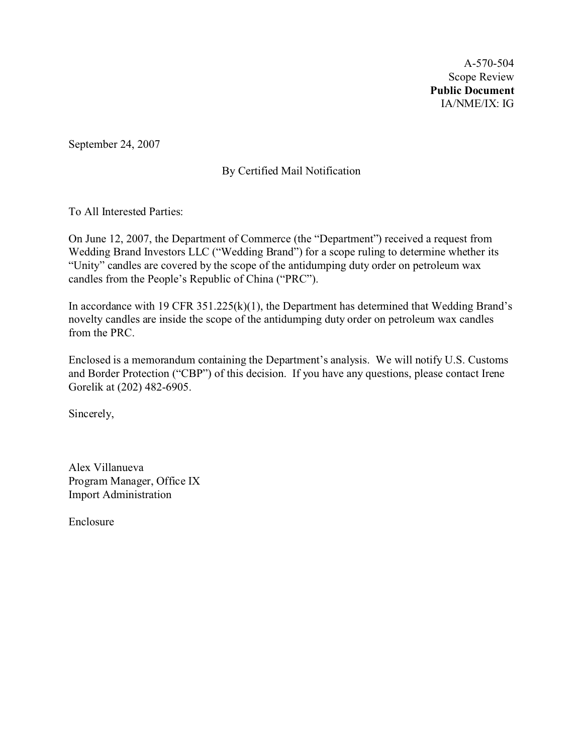A-570-504 Scope Review **Public Document** IA/NME/IX: IG

September 24, 2007

# By Certified Mail Notification

To All Interested Parties:

On June 12, 2007, the Department of Commerce (the "Department") received a request from Wedding Brand Investors LLC ("Wedding Brand") for a scope ruling to determine whether its "Unity" candles are covered by the scope of the antidumping duty order on petroleum wax candles from the People's Republic of China ("PRC").

In accordance with 19 CFR 351.225(k)(1), the Department has determined that Wedding Brand's novelty candles are inside the scope of the antidumping duty order on petroleum wax candles from the PRC.

Enclosed is a memorandum containing the Department's analysis. We will notify U.S. Customs and Border Protection ("CBP") of this decision. If you have any questions, please contact Irene Gorelik at (202) 482-6905.

Sincerely,

Alex Villanueva Program Manager, Office IX Import Administration

Enclosure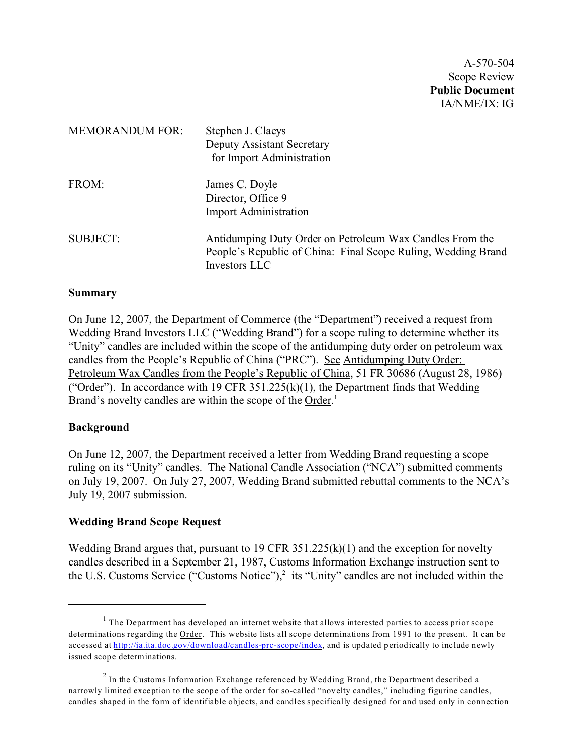A-570-504 Scope Review **Public Document** IA/NME/IX: IG

| <b>MEMORANDUM FOR:</b> | Stephen J. Claeys<br><b>Deputy Assistant Secretary</b><br>for Import Administration                                                        |
|------------------------|--------------------------------------------------------------------------------------------------------------------------------------------|
| FROM:                  | James C. Doyle<br>Director, Office 9<br><b>Import Administration</b>                                                                       |
| <b>SUBJECT:</b>        | Antidumping Duty Order on Petroleum Wax Candles From the<br>People's Republic of China: Final Scope Ruling, Wedding Brand<br>Investors LLC |

### **Summary**

On June 12, 2007, the Department of Commerce (the "Department") received a request from Wedding Brand Investors LLC ("Wedding Brand") for a scope ruling to determine whether its "Unity" candles are included within the scope of the antidumping duty order on petroleum wax candles from the People's Republic of China ("PRC"). See Antidumping Duty Order: Petroleum Wax Candles from the People's Republic of China, 51 FR 30686 (August 28, 1986) ("Order"). In accordance with 19 CFR 351.225(k)(1), the Department finds that Wedding Brand's novelty candles are within the scope of the Order.<sup>1</sup>

#### **Background**

On June 12, 2007, the Department received a letter from Wedding Brand requesting a scope ruling on its "Unity" candles. The National Candle Association ("NCA") submitted comments on July 19, 2007. On July 27, 2007, Wedding Brand submitted rebuttal comments to the NCA's July 19, 2007 submission.

### **Wedding Brand Scope Request**

Wedding Brand argues that, pursuant to 19 CFR  $351.225(k)(1)$  and the exception for novelty candles described in a September 21, 1987, Customs Information Exchange instruction sent to the U.S. Customs Service ("Customs Notice"),<sup>2</sup> its "Unity" candles are not included within the

 $<sup>1</sup>$  The Department has developed an internet website that allows interested parties to access prior scope</sup> determinations regarding the Order. This website lists all scope determinations from 1991 to the present. It can be accessed at [http://ia.ita.doc.gov/download/candles-prc-scope/index,](http://ia.ita.doc.gov/download/candles-prc-scope/,) and is updated periodically to include newly issued scope determinations.

 $2$  In the Customs Information Exchange referenced by Wedding Brand, the Department described a narrowly limited exception to the scope of the order for so-called "novelty candles," including figurine candles, candles shaped in the form of identifiable objects, and candles specifically designed for and used only in connection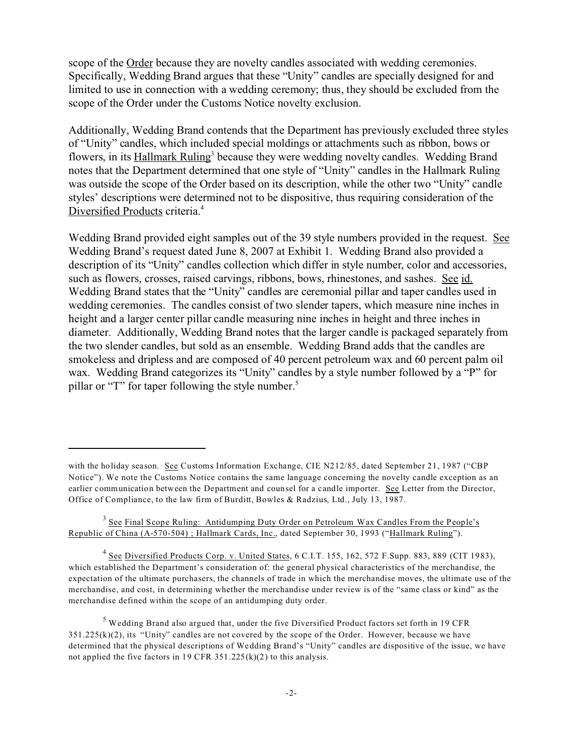scope of the Order because they are novelty candles associated with wedding ceremonies. Specifically, Wedding Brand argues that these "Unity" candles are specially designed for and limited to use in connection with a wedding ceremony; thus, they should be excluded from the scope of the Order under the Customs Notice novelty exclusion.

Additionally, Wedding Brand contends that the Department has previously excluded three styles of "Unity" candles, which included special moldings or attachments such as ribbon, bows or flowers, in its **Hallmark Ruling**<sup>3</sup> because they were wedding novelty candles. Wedding Brand notes that the Department determined that one style of "Unity" candles in the Hallmark Ruling was outside the scope of the Order based on its description, while the other two "Unity" candle styles' descriptions were determined not to be dispositive, thus requiring consideration of the Diversified Products criteria.<sup>4</sup>

Wedding Brand provided eight samples out of the 39 style numbers provided in the request. See Wedding Brand's request dated June 8, 2007 at Exhibit 1. Wedding Brand also provided a description of its "Unity" candles collection which differ in style number, color and accessories, such as flowers, crosses, raised carvings, ribbons, bows, rhinestones, and sashes. See id. Wedding Brand states that the "Unity" candles are ceremonial pillar and taper candles used in wedding ceremonies. The candles consist of two slender tapers, which measure nine inches in height and a larger center pillar candle measuring nine inches in height and three inches in diameter. Additionally, Wedding Brand notes that the larger candle is packaged separately from the two slender candles, but sold as an ensemble. Wedding Brand adds that the candles are smokeless and dripless and are composed of 40 percent petroleum wax and 60 percent palm oil wax. Wedding Brand categorizes its "Unity" candles by a style number followed by a "P" for pillar or "T" for taper following the style number.<sup>5</sup>

with the holiday season. See Customs Information Exchange, CIE N212/85, dated September 21, 1987 ("CBP Notice"). We note the Customs Notice contains the same language concerning the novelty candle exception as an earlier communication between the Department and counsel for a candle importer. See Letter from the Director, Office of Compliance, to the law firm of Burditt, Bowles & Radzius, Ltd., July 13, 1987.

<sup>&</sup>lt;sup>3</sup> See Final Scope Ruling: Antidumping Duty Order on Petroleum Wax Candles From the People's Republic of China (A-570-504) ; Hallmark Cards, Inc., dated September 30, 1993 ("Hallmark Ruling").

<sup>&</sup>lt;sup>4</sup> See Diversified Products Corp. v. United States, 6 C.I.T. 155, 162, 572 F. Supp. 883, 889 (CIT 1983), which established the Department's consideration of: the general physical characteristics of the merchandise, the expectation of the ultimate purchasers, the channels of trade in which the merchandise moves, the ultimate use of the merchandise, and cost, in determining whether the merchandise under review is of the "same class or kind" as the merchandise defined within the scope of an antidumping duty order.

 $<sup>5</sup>$  Wedding Brand also argued that, under the five Diversified Product factors set forth in 19 CFR</sup>  $351.225(k)(2)$ , its "Unity" candles are not covered by the scope of the Order. However, because we have determined that the physical descriptions of Wedding Brand's "Unity" candles are dispositive of the issue, we have not applied the five factors in 19 CFR  $351.225(k)(2)$  to this analysis.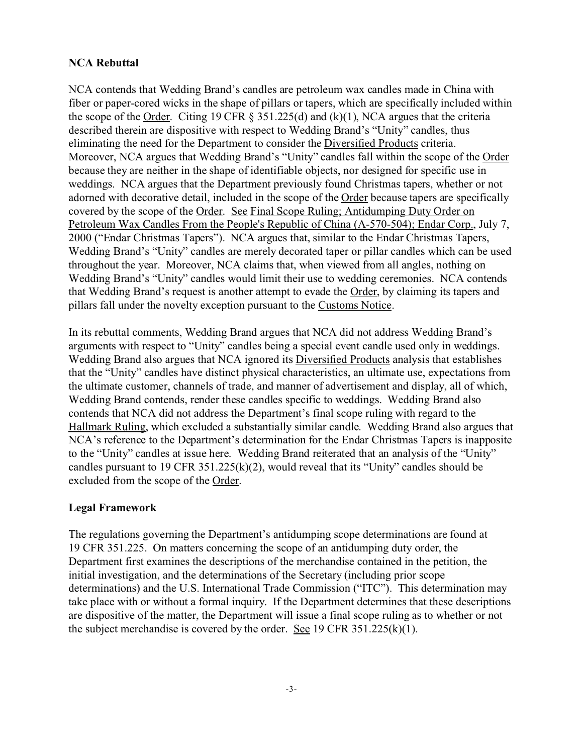## **NCA Rebuttal**

NCA contends that Wedding Brand's candles are petroleum wax candles made in China with fiber or paper-cored wicks in the shape of pillars or tapers, which are specifically included within the scope of the Order. Citing 19 CFR  $\S$  351.225(d) and (k)(1), NCA argues that the criteria described therein are dispositive with respect to Wedding Brand's "Unity" candles, thus eliminating the need for the Department to consider the Diversified Products criteria. Moreover, NCA argues that Wedding Brand's "Unity" candles fall within the scope of the Order because they are neither in the shape of identifiable objects, nor designed for specific use in weddings. NCA argues that the Department previously found Christmas tapers, whether or not adorned with decorative detail, included in the scope of the Order because tapers are specifically covered by the scope of the Order. See Final Scope Ruling; Antidumping Duty Order on Petroleum Wax Candles From the People's Republic of China (A-570-504); Endar Corp., July 7, 2000 ("Endar Christmas Tapers"). NCA argues that, similar to the Endar Christmas Tapers, Wedding Brand's "Unity" candles are merely decorated taper or pillar candles which can be used throughout the year. Moreover, NCA claims that, when viewed from all angles, nothing on Wedding Brand's "Unity" candles would limit their use to wedding ceremonies. NCA contends that Wedding Brand's request is another attempt to evade the Order, by claiming its tapers and pillars fall under the novelty exception pursuant to the Customs Notice.

In its rebuttal comments, Wedding Brand argues that NCA did not address Wedding Brand's arguments with respect to "Unity" candles being a special event candle used only in weddings. Wedding Brand also argues that NCA ignored its Diversified Products analysis that establishes that the "Unity" candles have distinct physical characteristics, an ultimate use, expectations from the ultimate customer, channels of trade, and manner of advertisement and display, all of which, Wedding Brand contends, render these candles specific to weddings. Wedding Brand also contends that NCA did not address the Department's final scope ruling with regard to the Hallmark Ruling, which excluded a substantially similar candle. Wedding Brand also argues that NCA's reference to the Department's determination for the Endar Christmas Tapers is inapposite to the "Unity" candles at issue here. Wedding Brand reiterated that an analysis of the "Unity" candles pursuant to 19 CFR 351.225(k)(2), would reveal that its "Unity" candles should be excluded from the scope of the Order.

### **Legal Framework**

The regulations governing the Department's antidumping scope determinations are found at 19 CFR 351.225. On matters concerning the scope of an antidumping duty order, the Department first examines the descriptions of the merchandise contained in the petition, the initial investigation, and the determinations of the Secretary (including prior scope determinations) and the U.S. International Trade Commission ("ITC"). This determination may take place with or without a formal inquiry. If the Department determines that these descriptions are dispositive of the matter, the Department will issue a final scope ruling as to whether or not the subject merchandise is covered by the order. See 19 CFR  $351.225(k)(1)$ .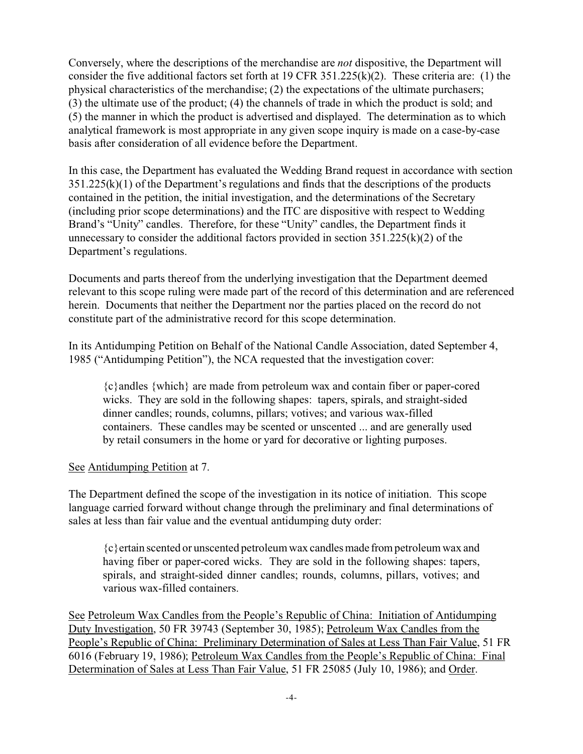Conversely, where the descriptions of the merchandise are *not* dispositive, the Department will consider the five additional factors set forth at 19 CFR 351.225(k)(2). These criteria are: (1) the physical characteristics of the merchandise; (2) the expectations of the ultimate purchasers; (3) the ultimate use of the product; (4) the channels of trade in which the product is sold; and (5) the manner in which the product is advertised and displayed. The determination as to which analytical framework is most appropriate in any given scope inquiry is made on a case-by-case basis after consideration of all evidence before the Department.

In this case, the Department has evaluated the Wedding Brand request in accordance with section 351.225(k)(1) of the Department's regulations and finds that the descriptions of the products contained in the petition, the initial investigation, and the determinations of the Secretary (including prior scope determinations) and the ITC are dispositive with respect to Wedding Brand's "Unity" candles. Therefore, for these "Unity" candles, the Department finds it unnecessary to consider the additional factors provided in section  $351.225(k)(2)$  of the Department's regulations.

Documents and parts thereof from the underlying investigation that the Department deemed relevant to this scope ruling were made part of the record of this determination and are referenced herein. Documents that neither the Department nor the parties placed on the record do not constitute part of the administrative record for this scope determination.

In its Antidumping Petition on Behalf of the National Candle Association, dated September 4, 1985 ("Antidumping Petition"), the NCA requested that the investigation cover:

{c}andles {which} are made from petroleum wax and contain fiber or paper-cored wicks. They are sold in the following shapes: tapers, spirals, and straight-sided dinner candles; rounds, columns, pillars; votives; and various wax-filled containers. These candles may be scented or unscented ... and are generally used by retail consumers in the home or yard for decorative or lighting purposes.

# See Antidumping Petition at 7.

The Department defined the scope of the investigation in its notice of initiation. This scope language carried forward without change through the preliminary and final determinations of sales at less than fair value and the eventual antidumping duty order:

{c}ertain scented or unscented petroleum wax candlesmade from petroleum wax and having fiber or paper-cored wicks. They are sold in the following shapes: tapers, spirals, and straight-sided dinner candles; rounds, columns, pillars, votives; and various wax-filled containers.

See Petroleum Wax Candles from the People's Republic of China: Initiation of Antidumping Duty Investigation, 50 FR 39743 (September 30, 1985); Petroleum Wax Candles from the People's Republic of China: Preliminary Determination of Sales at Less Than Fair Value, 51 FR 6016 (February 19, 1986); Petroleum Wax Candles from the People's Republic of China: Final Determination of Sales at Less Than Fair Value, 51 FR 25085 (July 10, 1986); and Order.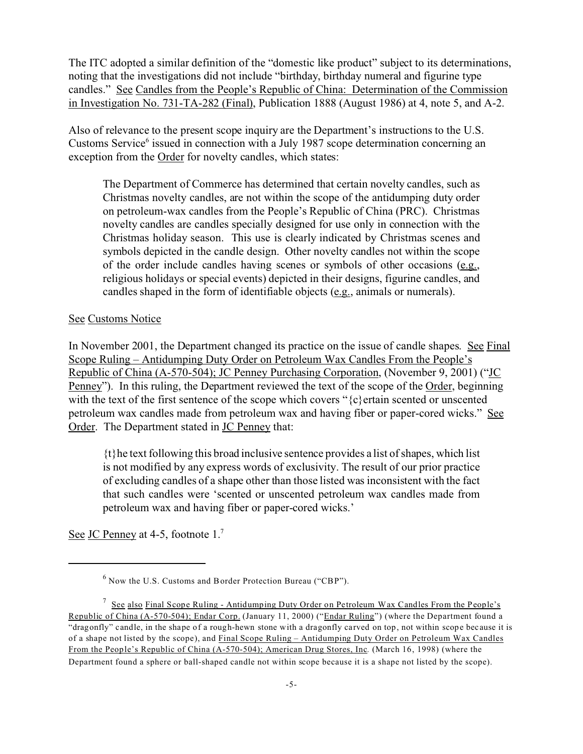The ITC adopted a similar definition of the "domestic like product" subject to its determinations, noting that the investigations did not include "birthday, birthday numeral and figurine type candles." See Candles from the People's Republic of China: Determination of the Commission in Investigation No. 731-TA-282 (Final), Publication 1888 (August 1986) at 4, note 5, and A-2.

Also of relevance to the present scope inquiry are the Department's instructions to the U.S. Customs Service<sup>6</sup> issued in connection with a July 1987 scope determination concerning an exception from the Order for novelty candles, which states:

The Department of Commerce has determined that certain novelty candles, such as Christmas novelty candles, are not within the scope of the antidumping duty order on petroleum-wax candles from the People's Republic of China (PRC). Christmas novelty candles are candles specially designed for use only in connection with the Christmas holiday season. This use is clearly indicated by Christmas scenes and symbols depicted in the candle design. Other novelty candles not within the scope of the order include candles having scenes or symbols of other occasions (e.g., religious holidays or special events) depicted in their designs, figurine candles, and candles shaped in the form of identifiable objects (e.g., animals or numerals).

#### See Customs Notice

In November 2001, the Department changed its practice on the issue of candle shapes.See Final Scope Ruling – Antidumping Duty Order on Petroleum Wax Candles From the People's Republic of China (A-570-504); JC Penney Purchasing Corporation, (November 9, 2001) ("JC Penney"). In this ruling, the Department reviewed the text of the scope of the Order, beginning with the text of the first sentence of the scope which covers "{c}ertain scented or unscented petroleum wax candles made from petroleum wax and having fiber or paper-cored wicks." See Order. The Department stated in **JC Penney** that:

{t}he text following this broad inclusive sentence provides a list of shapes, which list is not modified by any express words of exclusivity. The result of our prior practice of excluding candles of a shape other than those listed was inconsistent with the fact that such candles were 'scented or unscented petroleum wax candles made from petroleum wax and having fiber or paper-cored wicks.'

See JC Penney at 4-5, footnote 1.<sup>7</sup>

 $^6$  Now the U.S. Customs and Border Protection Bureau ("CBP").

<sup>&</sup>lt;sup>7</sup> See also Final Scope Ruling - Antidumping Duty Order on Petroleum Wax Candles From the People's Republic of China (A-570-504); Endar Corp. (January 11, 2000) ("Endar Ruling") (where the Department found a "dragonfly" candle, in the shape of a rough-hewn stone with a dragonfly carved on top, not within scope because it is of a shape not listed by the scope), and Final Scope Ruling – Antidumping Duty Order on Petroleum Wax Candles From the People's Republic of China (A-570-504); American Drug Stores, Inc*.* (March 16, 1998) (where the Department found a sphere or ball-shaped candle not within scope because it is a shape not listed by the scope).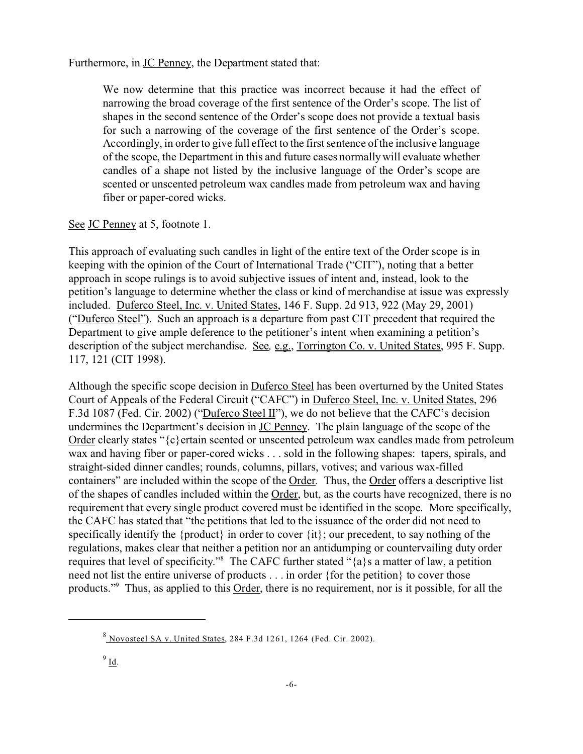Furthermore, in JC Penney, the Department stated that:

We now determine that this practice was incorrect because it had the effect of narrowing the broad coverage of the first sentence of the Order's scope. The list of shapes in the second sentence of the Order's scope does not provide a textual basis for such a narrowing of the coverage of the first sentence of the Order's scope. Accordingly, in order to give full effect to the first sentence of the inclusive language of the scope, the Department in this and future cases normally will evaluate whether candles of a shape not listed by the inclusive language of the Order's scope are scented or unscented petroleum wax candles made from petroleum wax and having fiber or paper-cored wicks.

### See JC Penney at 5, footnote 1.

This approach of evaluating such candles in light of the entire text of the Order scope is in keeping with the opinion of the Court of International Trade ("CIT"), noting that a better approach in scope rulings is to avoid subjective issues of intent and, instead, look to the petition's language to determine whether the class or kind of merchandise at issue was expressly included. Duferco Steel, Inc. v. United States, 146 F. Supp. 2d 913, 922 (May 29, 2001) ("Duferco Steel"). Such an approach is a departure from past CIT precedent that required the Department to give ample deference to the petitioner's intent when examining a petition's description of the subject merchandise. See*,* e.g., Torrington Co. v. United States, 995 F. Supp. 117, 121 (CIT 1998).

Although the specific scope decision in **Duferco Steel** has been overturned by the United States Court of Appeals of the Federal Circuit ("CAFC") in Duferco Steel, Inc. v. United States, 296 F.3d 1087 (Fed. Cir. 2002) ("Duferco Steel II"), we do not believe that the CAFC's decision undermines the Department's decision in **JC Penney**. The plain language of the scope of the Order clearly states "{c}ertain scented or unscented petroleum wax candles made from petroleum wax and having fiber or paper-cored wicks . . . sold in the following shapes: tapers, spirals, and straight-sided dinner candles; rounds, columns, pillars, votives; and various wax-filled containers" are included within the scope of the Order*.* Thus, the Order offers a descriptive list of the shapes of candles included within the Order, but, as the courts have recognized, there is no requirement that every single product covered must be identified in the scope. More specifically, the CAFC has stated that "the petitions that led to the issuance of the order did not need to specifically identify the {product} in order to cover {it}; our precedent, to say nothing of the regulations, makes clear that neither a petition nor an antidumping or countervailing duty order requires that level of specificity."<sup>8</sup> The CAFC further stated "{a}s a matter of law, a petition need not list the entire universe of products . . . in order {for the petition} to cover those products."<sup>9</sup> Thus, as applied to this **Order**, there is no requirement, nor is it possible, for all the

<sup>8</sup> Novosteel SA v. United States, 284 F.3d 1261, 1264 (Fed. Cir. 2002).

 $^9$  <u>Id</u>.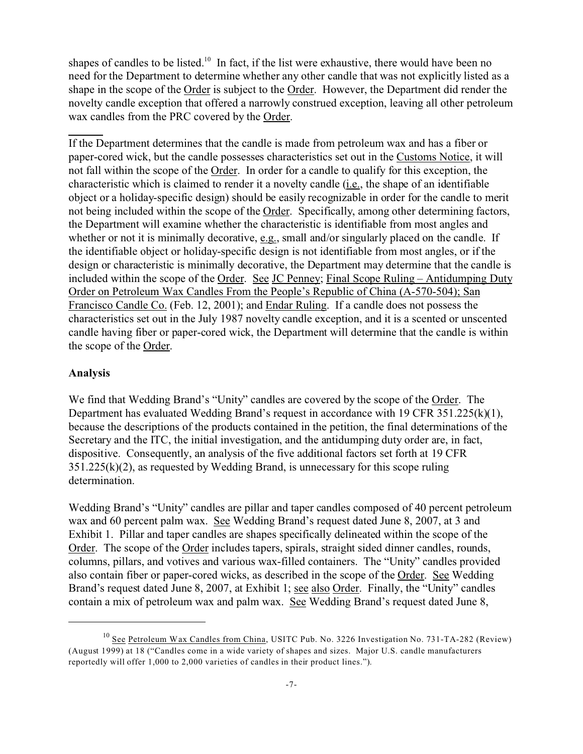shapes of candles to be listed.<sup>10</sup> In fact, if the list were exhaustive, there would have been no need for the Department to determine whether any other candle that was not explicitly listed as a shape in the scope of the Order is subject to the Order. However, the Department did render the novelty candle exception that offered a narrowly construed exception, leaving all other petroleum wax candles from the PRC covered by the Order.

If the Department determines that the candle is made from petroleum wax and has a fiber or paper-cored wick, but the candle possesses characteristics set out in the Customs Notice, it will not fall within the scope of the Order. In order for a candle to qualify for this exception, the characteristic which is claimed to render it a novelty candle (i.e., the shape of an identifiable object or a holiday-specific design) should be easily recognizable in order for the candle to merit not being included within the scope of the Order. Specifically, among other determining factors, the Department will examine whether the characteristic is identifiable from most angles and whether or not it is minimally decorative, e.g., small and/or singularly placed on the candle. If the identifiable object or holiday-specific design is not identifiable from most angles, or if the design or characteristic is minimally decorative, the Department may determine that the candle is included within the scope of the Order. See JC Penney; Final Scope Ruling – Antidumping Duty Order on Petroleum Wax Candles From the People's Republic of China (A-570-504); San Francisco Candle Co. (Feb. 12, 2001); and Endar Ruling. If a candle does not possess the characteristics set out in the July 1987 novelty candle exception, and it is a scented or unscented candle having fiber or paper-cored wick, the Department will determine that the candle is within the scope of the Order.

### **Analysis**

We find that Wedding Brand's "Unity" candles are covered by the scope of the Order. The Department has evaluated Wedding Brand's request in accordance with 19 CFR  $351.225(k)(1)$ , because the descriptions of the products contained in the petition, the final determinations of the Secretary and the ITC, the initial investigation, and the antidumping duty order are, in fact, dispositive. Consequently, an analysis of the five additional factors set forth at 19 CFR 351.225(k)(2), as requested by Wedding Brand, is unnecessary for this scope ruling determination.

Wedding Brand's "Unity" candles are pillar and taper candles composed of 40 percent petroleum wax and 60 percent palm wax. See Wedding Brand's request dated June 8, 2007, at 3 and Exhibit 1. Pillar and taper candles are shapes specifically delineated within the scope of the Order. The scope of the Order includes tapers, spirals, straight sided dinner candles, rounds, columns, pillars, and votives and various wax-filled containers. The "Unity" candles provided also contain fiber or paper-cored wicks, as described in the scope of the Order. See Wedding Brand's request dated June 8, 2007, at Exhibit 1; see also Order. Finally, the "Unity" candles contain a mix of petroleum wax and palm wax. See Wedding Brand's request dated June 8,

<sup>&</sup>lt;sup>10</sup> See Petroleum Wax Candles from China, USITC Pub. No. 3226 Investigation No. 731-TA-282 (Review) (August 1999) at 18 ("Candles come in a wide variety of shapes and sizes. Major U.S. candle manufacturers reportedly will offer 1,000 to 2,000 varieties of candles in their product lines.").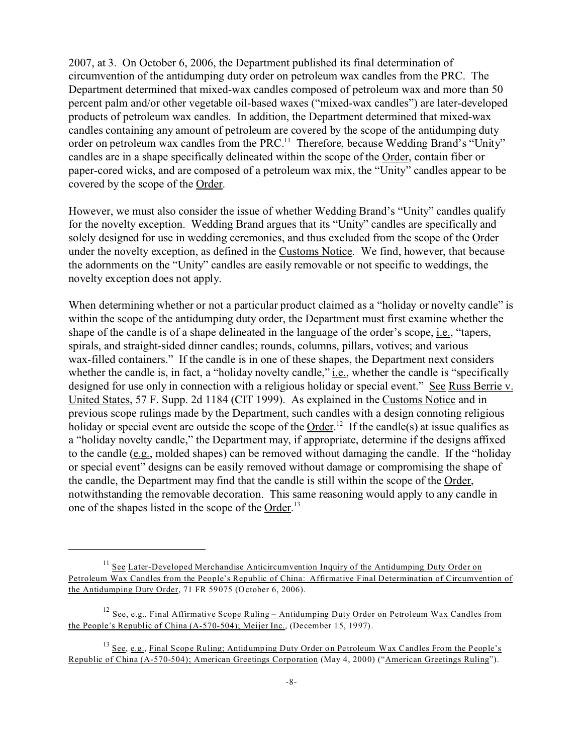2007, at 3. On October 6, 2006, the Department published its final determination of circumvention of the antidumping duty order on petroleum wax candles from the PRC. The Department determined that mixed-wax candles composed of petroleum wax and more than 50 percent palm and/or other vegetable oil-based waxes ("mixed-wax candles") are later-developed products of petroleum wax candles. In addition, the Department determined that mixed-wax candles containing any amount of petroleum are covered by the scope of the antidumping duty order on petroleum wax candles from the PRC.<sup>11</sup> Therefore, because Wedding Brand's "Unity" candles are in a shape specifically delineated within the scope of the Order, contain fiber or paper-cored wicks, and are composed of a petroleum wax mix, the "Unity" candles appear to be covered by the scope of the Order.

However, we must also consider the issue of whether Wedding Brand's "Unity" candles qualify for the novelty exception. Wedding Brand argues that its "Unity" candles are specifically and solely designed for use in wedding ceremonies, and thus excluded from the scope of the Order under the novelty exception, as defined in the Customs Notice. We find, however, that because the adornments on the "Unity" candles are easily removable or not specific to weddings, the novelty exception does not apply.

When determining whether or not a particular product claimed as a "holiday or novelty candle" is within the scope of the antidumping duty order, the Department must first examine whether the shape of the candle is of a shape delineated in the language of the order's scope, i.e., "tapers, spirals, and straight-sided dinner candles; rounds, columns, pillars, votives; and various wax-filled containers." If the candle is in one of these shapes, the Department next considers whether the candle is, in fact, a "holiday novelty candle," *i.e.*, whether the candle is "specifically designed for use only in connection with a religious holiday or special event." See Russ Berrie v. United States, 57 F. Supp. 2d 1184 (CIT 1999). As explained in the Customs Notice and in previous scope rulings made by the Department, such candles with a design connoting religious holiday or special event are outside the scope of the Order.<sup>12</sup> If the candle(s) at issue qualifies as a "holiday novelty candle," the Department may, if appropriate, determine if the designs affixed to the candle (e.g., molded shapes) can be removed without damaging the candle. If the "holiday or special event" designs can be easily removed without damage or compromising the shape of the candle, the Department may find that the candle is still within the scope of the Order, notwithstanding the removable decoration. This same reasoning would apply to any candle in one of the shapes listed in the scope of the Order.<sup>13</sup>

<sup>&</sup>lt;sup>11</sup> See Later-Developed Merchandise Anticircumvention Inquiry of the Antidumping Duty Order on Petroleum Wax Candles from the People's Republic of China: Affirmative Final Determination of Circumvention of the Antidumping Duty Order, 71 FR 59075 (October 6, 2006).

<sup>&</sup>lt;sup>12</sup> See, e.g., Final Affirmative Scope Ruling – Antidumping Duty Order on Petroleum Wax Candles from the People's Republic of China (A-570-504); Meijer Inc., (December 15, 1997).

<sup>&</sup>lt;sup>13</sup> See, e.g., Final Scope Ruling; Antidumping Duty Order on Petroleum Wax Candles From the People's Republic of China (A-570-504); American Greetings Corporation (May 4, 2000) ("American Greetings Ruling").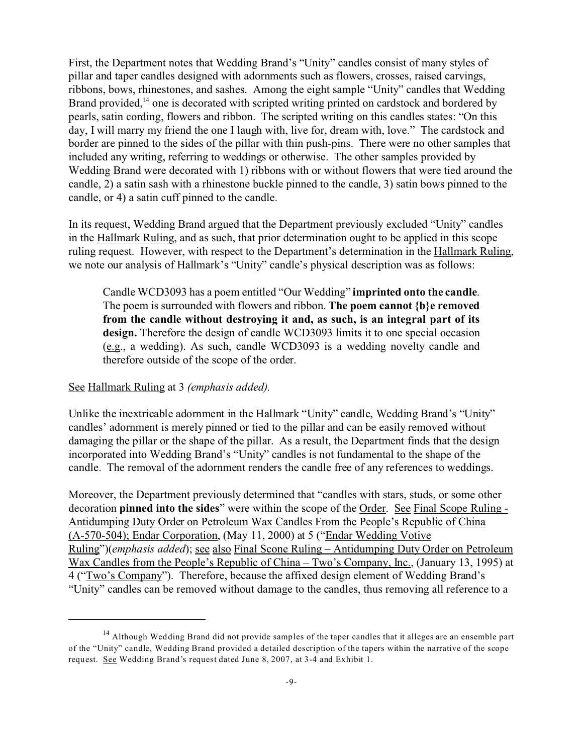First, the Department notes that Wedding Brand's "Unity" candles consist of many styles of pillar and taper candles designed with adornments such as flowers, crosses, raised carvings, ribbons, bows, rhinestones, and sashes. Among the eight sample "Unity" candles that Wedding Brand provided, $14$  one is decorated with scripted writing printed on cardstock and bordered by pearls, satin cording, flowers and ribbon. The scripted writing on this candles states: "On this day, I will marry my friend the one I laugh with, live for, dream with, love." The cardstock and border are pinned to the sides of the pillar with thin push-pins. There were no other samples that included any writing, referring to weddings or otherwise. The other samples provided by Wedding Brand were decorated with 1) ribbons with or without flowers that were tied around the candle, 2) a satin sash with a rhinestone buckle pinned to the candle, 3) satin bows pinned to the candle, or 4) a satin cuff pinned to the candle.

In its request, Wedding Brand argued that the Department previously excluded "Unity" candles in the Hallmark Ruling, and as such, that prior determination ought to be applied in this scope ruling request. However, with respect to the Department's determination in the Hallmark Ruling, we note our analysis of Hallmark's "Unity" candle's physical description was as follows:

Candle WCD3093 has a poem entitled "Our Wedding" **imprinted onto the candle**. The poem is surrounded with flowers and ribbon. **The poem cannot {b}e removed from the candle without destroying it and, as such, is an integral part of its design.** Therefore the design of candle WCD3093 limits it to one special occasion (e.g., a wedding). As such, candle WCD3093 is a wedding novelty candle and therefore outside of the scope of the order.

### See Hallmark Ruling at 3 *(emphasis added).*

Unlike the inextricable adornment in the Hallmark "Unity" candle, Wedding Brand's "Unity" candles' adornment is merely pinned or tied to the pillar and can be easily removed without damaging the pillar or the shape of the pillar. As a result, the Department finds that the design incorporated into Wedding Brand's "Unity" candles is not fundamental to the shape of the candle. The removal of the adornment renders the candle free of any references to weddings.

Moreover, the Department previously determined that "candles with stars, studs, or some other decoration **pinned into the sides**" were within the scope of the Order. See Final Scope Ruling - Antidumping Duty Order on Petroleum Wax Candles From the People's Republic of China (A-570-504); Endar Corporation, (May 11, 2000) at 5 ("Endar Wedding Votive Ruling")(*emphasis added*); see also Final Scone Ruling – Antidumping Duty Order on Petroleum Wax Candles from the People's Republic of China – Two's Company, Inc., (January 13, 1995) at 4 ("Two's Company"). Therefore, because the affixed design element of Wedding Brand's "Unity" candles can be removed without damage to the candles, thus removing all reference to a

<sup>&</sup>lt;sup>14</sup> Although Wedding Brand did not provide samples of the taper candles that it alleges are an ensemble part of the "Unity" candle, Wedding Brand provided a detailed description of the tapers within the narrative of the scope request. See Wedding Brand's request dated June 8, 2007, at 3-4 and Exhibit 1.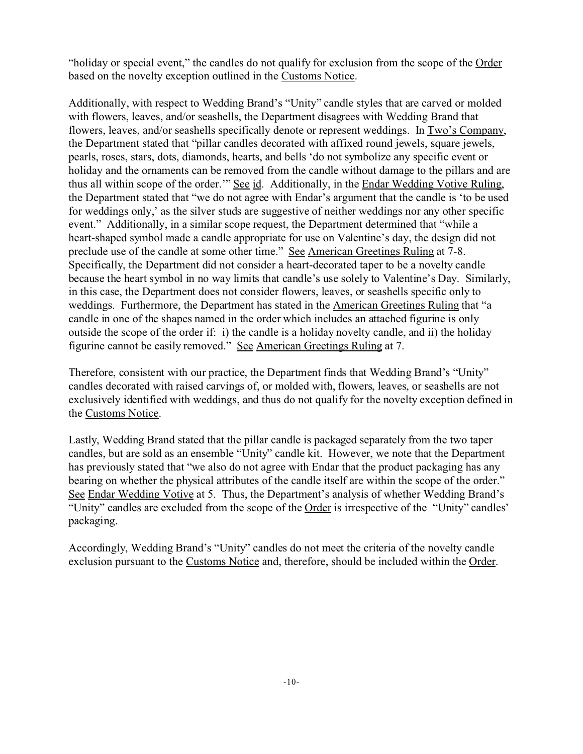"holiday or special event," the candles do not qualify for exclusion from the scope of the Order based on the novelty exception outlined in the Customs Notice.

Additionally, with respect to Wedding Brand's "Unity" candle styles that are carved or molded with flowers, leaves, and/or seashells, the Department disagrees with Wedding Brand that flowers, leaves, and/or seashells specifically denote or represent weddings. In Two's Company, the Department stated that "pillar candles decorated with affixed round jewels, square jewels, pearls, roses, stars, dots, diamonds, hearts, and bells 'do not symbolize any specific event or holiday and the ornaments can be removed from the candle without damage to the pillars and are thus all within scope of the order." See id. Additionally, in the Endar Wedding Votive Ruling, the Department stated that "we do not agree with Endar's argument that the candle is 'to be used for weddings only,' as the silver studs are suggestive of neither weddings nor any other specific event." Additionally, in a similar scope request, the Department determined that "while a heart-shaped symbol made a candle appropriate for use on Valentine's day, the design did not preclude use of the candle at some other time." See American Greetings Ruling at 7-8. Specifically, the Department did not consider a heart-decorated taper to be a novelty candle because the heart symbol in no way limits that candle's use solely to Valentine's Day. Similarly, in this case, the Department does not consider flowers, leaves, or seashells specific only to weddings. Furthermore, the Department has stated in the American Greetings Ruling that "a candle in one of the shapes named in the order which includes an attached figurine is only outside the scope of the order if: i) the candle is a holiday novelty candle, and ii) the holiday figurine cannot be easily removed." See American Greetings Ruling at 7.

Therefore, consistent with our practice, the Department finds that Wedding Brand's "Unity" candles decorated with raised carvings of, or molded with, flowers, leaves, or seashells are not exclusively identified with weddings, and thus do not qualify for the novelty exception defined in the Customs Notice.

Lastly, Wedding Brand stated that the pillar candle is packaged separately from the two taper candles, but are sold as an ensemble "Unity" candle kit. However, we note that the Department has previously stated that "we also do not agree with Endar that the product packaging has any bearing on whether the physical attributes of the candle itself are within the scope of the order." See Endar Wedding Votive at 5. Thus, the Department's analysis of whether Wedding Brand's "Unity" candles are excluded from the scope of the Order is irrespective of the "Unity" candles' packaging.

Accordingly, Wedding Brand's "Unity" candles do not meet the criteria of the novelty candle exclusion pursuant to the Customs Notice and, therefore, should be included within the Order.